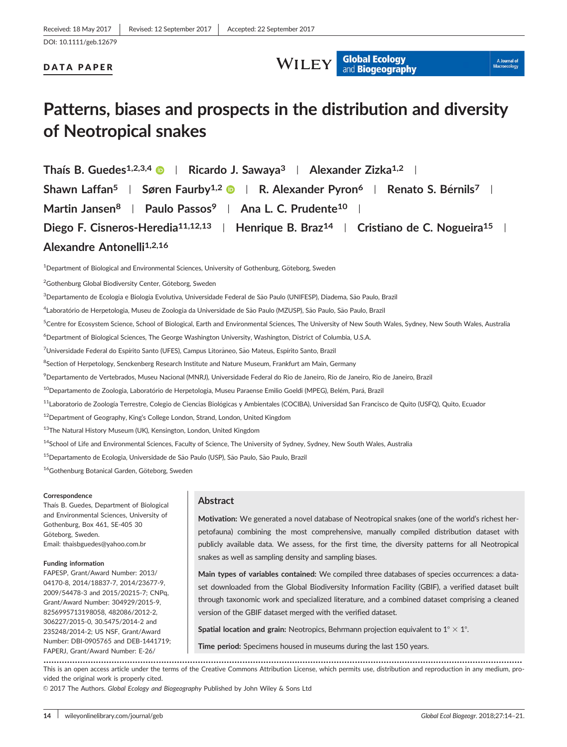# DATA PAPER

# **WILEY** Global Ecology

# Patterns, biases and prospects in the distribution and diversity of Neotropical snakes

Thaís B. Guedes<sup>1,2,3,4</sup> | Ricardo J. Sawaya<sup>3</sup> | Alexander Zizka<sup>1,2</sup> | Shawn Laffan<sup>5</sup> | Søren Faurby<sup>1,2</sup>  $\bullet$  | R. Alexander Pyron<sup>6</sup> | Renato S. Bérnils<sup>7</sup> | Martin Jansen<sup>8</sup> | Paulo Passos<sup>9</sup> | Ana L. C. Prudente<sup>10</sup> | Diego F. Cisneros-Heredia<sup>11,12,13</sup> | Henrique B. Braz<sup>14</sup> | Cristiano de C. Nogueira<sup>15</sup> | Alexandre Antonelli1,2,16

<sup>1</sup>Department of Biological and Environmental Sciences, University of Gothenburg, Göteborg, Sweden

<sup>2</sup>Gothenburg Global Biodiversity Center, Göteborg, Sweden

<sup>3</sup>Departamento de Ecologia e Biologia Evolutiva, Universidade Federal de São Paulo (UNIFESP), Diadema, São Paulo, Brazil

<sup>4</sup>Laboratório de Herpetologia, Museu de Zoologia da Universidade de São Paulo (MZUSP), São Paulo, São Paulo, Brazil

<sup>5</sup>Centre for Ecosystem Science, School of Biological, Earth and Environmental Sciences, The University of New South Wales, Sydney, New South Wales, Australia

6 Department of Biological Sciences, The George Washington University, Washington, District of Columbia, U.S.A.

<sup>7</sup>Universidade Federal do Espírito Santo (UFES), Campus Litorâneo, São Mateus, Espírito Santo, Brazil

8<br>Section of Herpetology, Senckenberg Research Institute and Nature Museum, Frankfurt am Main, Germany

9 Departamento de Vertebrados, Museu Nacional (MNRJ), Universidade Federal do Rio de Janeiro, Rio de Janeiro, Rio de Janeiro, Brazil

<sup>10</sup>Departamento de Zoologia, Laboratório de Herpetologia, Museu Paraense Emilio Goeldi (MPEG), Belém, Pará, Brazil

11Laboratorio de Zoología Terrestre, Colegio de Ciencias Biológicas y Ambientales (COCIBA), Universidad San Francisco de Quito (USFQ), Quito, Ecuador

<sup>12</sup>Department of Geography, King's College London, Strand, London, United Kingdom

<sup>13</sup>The Natural History Museum (UK), Kensington, London, United Kingdom

<sup>14</sup>School of Life and Environmental Sciences, Faculty of Science, The University of Sydney, Sydney, New South Wales, Australia

<sup>15</sup>Departamento de Ecologia, Universidade de São Paulo (USP), São Paulo, São Paulo, Brazil

<sup>16</sup>Gothenburg Botanical Garden, Göteborg, Sweden

#### **Correspondence**

Thaís B. Guedes, Department of Biological and Environmental Sciences, University of Gothenburg, Box 461, SE-405 30 Göteborg, Sweden. Email: thaisbguedes@yahoo.com.br

#### Funding information

FAPESP, Grant/Award Number: 2013/ 04170-8, 2014/18837-7, 2014/23677-9, 2009/54478-3 and 2015/20215-7; CNPq, Grant/Award Number: 304929/2015-9, 8256995713198058, 482086/2012-2, 306227/2015-0, 30.5475/2014-2 and 235248/2014-2; US NSF, Grant/Award Number: DBI-0905765 and DEB-1441719; FAPERJ, Grant/Award Number: E-26/

## Abstract

Motivation: We generated a novel database of Neotropical snakes (one of the world's richest herpetofauna) combining the most comprehensive, manually compiled distribution dataset with publicly available data. We assess, for the first time, the diversity patterns for all Neotropical snakes as well as sampling density and sampling biases.

Main types of variables contained: We compiled three databases of species occurrences: a dataset downloaded from the Global Biodiversity Information Facility (GBIF), a verified dataset built through taxonomic work and specialized literature, and a combined dataset comprising a cleaned version of the GBIF dataset merged with the verified dataset.

Spatial location and grain: Neotropics, Behrmann projection equivalent to  $1^{\circ} \times 1^{\circ}$ .

Time period: Specimens housed in museums during the last 150 years.

....................................................................................................................................................................................... This is an open access article under the terms of the [Creative Commons Attribution](http://creativecommons.org/licenses/by/4.0/) License, which permits use, distribution and reproduction in any medium, provided the original work is properly cited.

 $© 2017$  The Authors. Global Ecology and Biogeography Published by John Wiley & Sons Ltd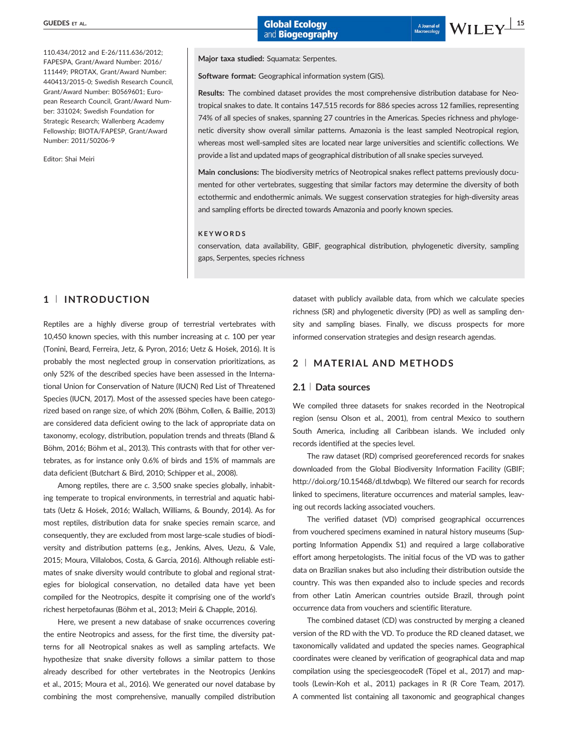110.434/2012 and E-26/111.636/2012; FAPESPA, Grant/Award Number: 2016/ 111449; PROTAX, Grant/Award Number: 440413/2015-0; Swedish Research Council, Grant/Award Number: B0569601; European Research Council, Grant/Award Number: 331024; Swedish Foundation for Strategic Research; Wallenberg Academy Fellowship; BIOTA/FAPESP, Grant/Award Number: 2011/50206-9

Editor: Shai Meiri

# and **Biogeography**

GUEDES ET AL. | 15

Major taxa studied: Squamata: Serpentes.

Software format: Geographical information system (GIS).

Results: The combined dataset provides the most comprehensive distribution database for Neotropical snakes to date. It contains 147,515 records for 886 species across 12 families, representing 74% of all species of snakes, spanning 27 countries in the Americas. Species richness and phylogenetic diversity show overall similar patterns. Amazonia is the least sampled Neotropical region, whereas most well-sampled sites are located near large universities and scientific collections. We provide a list and updated maps of geographical distribution of all snake species surveyed.

Main conclusions: The biodiversity metrics of Neotropical snakes reflect patterns previously documented for other vertebrates, suggesting that similar factors may determine the diversity of both ectothermic and endothermic animals. We suggest conservation strategies for high-diversity areas and sampling efforts be directed towards Amazonia and poorly known species.

#### KEYWORDS

conservation, data availability, GBIF, geographical distribution, phylogenetic diversity, sampling gaps, Serpentes, species richness

#### 1 <sup>|</sup> INTRODUCTION

Reptiles are a highly diverse group of terrestrial vertebrates with 10,450 known species, with this number increasing at c. 100 per year (Tonini, Beard, Ferreira, Jetz, & Pyron, 2016; Uetz & Hosek, 2016). It is probably the most neglected group in conservation prioritizations, as only 52% of the described species have been assessed in the International Union for Conservation of Nature (IUCN) Red List of Threatened Species (IUCN, 2017). Most of the assessed species have been categorized based on range size, of which 20% (Böhm, Collen, & Baillie, 2013) are considered data deficient owing to the lack of appropriate data on taxonomy, ecology, distribution, population trends and threats (Bland & Böhm, 2016; Böhm et al., 2013). This contrasts with that for other vertebrates, as for instance only 0.6% of birds and 15% of mammals are data deficient (Butchart & Bird, 2010; Schipper et al., 2008).

Among reptiles, there are c. 3,500 snake species globally, inhabiting temperate to tropical environments, in terrestrial and aquatic habitats (Uetz & Hosek, 2016; Wallach, Williams, & Boundy, 2014). As for most reptiles, distribution data for snake species remain scarce, and consequently, they are excluded from most large-scale studies of biodiversity and distribution patterns (e.g., Jenkins, Alves, Uezu, & Vale, 2015; Moura, Villalobos, Costa, & Garcia, 2016). Although reliable estimates of snake diversity would contribute to global and regional strategies for biological conservation, no detailed data have yet been compiled for the Neotropics, despite it comprising one of the world's richest herpetofaunas (Böhm et al., 2013; Meiri & Chapple, 2016).

Here, we present a new database of snake occurrences covering the entire Neotropics and assess, for the first time, the diversity patterns for all Neotropical snakes as well as sampling artefacts. We hypothesize that snake diversity follows a similar pattern to those already described for other vertebrates in the Neotropics (Jenkins et al., 2015; Moura et al., 2016). We generated our novel database by combining the most comprehensive, manually compiled distribution dataset with publicly available data, from which we calculate species richness (SR) and phylogenetic diversity (PD) as well as sampling density and sampling biases. Finally, we discuss prospects for more informed conservation strategies and design research agendas.

### 2 <sup>|</sup> MATERIAL AND METHODS

#### 2.1 <sup>|</sup> Data sources

We compiled three datasets for snakes recorded in the Neotropical region (sensu Olson et al., 2001), from central Mexico to southern South America, including all Caribbean islands. We included only records identified at the species level.

The raw dataset (RD) comprised georeferenced records for snakes downloaded from the Global Biodiversity Information Facility (GBIF; <http://doi.org/10.15468/dl.tdwbqp>). We filtered our search for records linked to specimens, literature occurrences and material samples, leaving out records lacking associated vouchers.

The verified dataset (VD) comprised geographical occurrences from vouchered specimens examined in natural history museums (Supporting Information Appendix S1) and required a large collaborative effort among herpetologists. The initial focus of the VD was to gather data on Brazilian snakes but also including their distribution outside the country. This was then expanded also to include species and records from other Latin American countries outside Brazil, through point occurrence data from vouchers and scientific literature.

The combined dataset (CD) was constructed by merging a cleaned version of the RD with the VD. To produce the RD cleaned dataset, we taxonomically validated and updated the species names. Geographical coordinates were cleaned by verification of geographical data and map compilation using the speciesgeocodeR (Töpel et al., 2017) and maptools (Lewin-Koh et al., 2011) packages in R (R Core Team, 2017). A commented list containing all taxonomic and geographical changes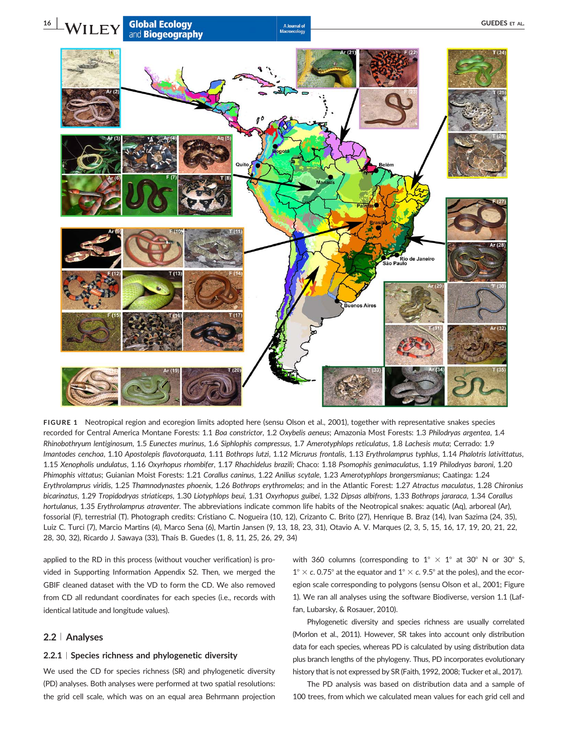

FIGURE 1 Neotropical region and ecoregion limits adopted here (sensu Olson et al., 2001), together with representative snakes species recorded for Central America Montane Forests: 1.1 Boa constrictor, 1.2 Oxybelis aeneus; Amazonia Most Forests: 1.3 Philodryas argentea, 1.4 Rhinobothryum lentiginosum, 1.5 Eunectes murinus, 1.6 Siphlophis compressus, 1.7 Amerotyphlops reticulatus, 1.8 Lachesis muta; Cerrado: 1.9 Imantodes cenchoa, 1.10 Apostolepis flavotorquata, 1.11 Bothrops lutzi, 1.12 Micrurus frontalis, 1.13 Erythrolamprus typhlus, 1.14 Phalotris lativittatus, 1.15 Xenopholis undulatus, 1.16 Oxyrhopus rhombifer, 1.17 Rhachidelus brazili; Chaco: 1.18 Psomophis genimaculatus, 1.19 Philodryas baroni, 1.20 Phimophis vittatus; Guianian Moist Forests: 1.21 Corallus caninus, 1.22 Anilius scytale, 1.23 Amerotyphlops brongersmianus; Caatinga: 1.24 Erythrolamprus viridis, 1.25 Thamnodynastes phoenix, 1.26 Bothrops erythromelas; and in the Atlantic Forest: 1.27 Atractus maculatus, 1.28 Chironius bicarinatus, 1.29 Tropidodryas striaticeps, 1.30 Liotyphlops beui, 1.31 Oxyrhopus guibei, 1.32 Dipsas albifrons, 1.33 Bothrops jararaca, 1.34 Corallus hortulanus, 1.35 Erythrolamprus atraventer. The abbreviations indicate common life habits of the Neotropical snakes: aquatic (Aq), arboreal (Ar), fossorial (F), terrestrial (T). Photograph credits: Cristiano C. Nogueira (10, 12), Crizanto C. Brito (27), Henrique B. Braz (14), Ivan Sazima (24, 35), Luiz C. Turci (7), Marcio Martins (4), Marco Sena (6), Martin Jansen (9, 13, 18, 23, 31), Otavio A. V. Marques (2, 3, 5, 15, 16, 17, 19, 20, 21, 22, 28, 30, 32), Ricardo J. Sawaya (33), Thaís B. Guedes (1, 8, 11, 25, 26, 29, 34)

applied to the RD in this process (without voucher verification) is provided in Supporting Information Appendix S2. Then, we merged the GBIF cleaned dataset with the VD to form the CD. We also removed from CD all redundant coordinates for each species (i.e., records with identical latitude and longitude values).

#### 2.2 <sup>|</sup> Analyses

#### 2.2.1 <sup>|</sup> Species richness and phylogenetic diversity

We used the CD for species richness (SR) and phylogenetic diversity (PD) analyses. Both analyses were performed at two spatial resolutions: the grid cell scale, which was on an equal area Behrmann projection with 360 columns (corresponding to  $1^{\circ} \times 1^{\circ}$  at 30° N or 30° S,  $1^{\circ} \times c$ . 0.75° at the equator and  $1^{\circ} \times c$ . 9.5° at the poles), and the ecoregion scale corresponding to polygons (sensu Olson et al., 2001; Figure 1). We ran all analyses using the software Biodiverse, version 1.1 (Laffan, Lubarsky, & Rosauer, 2010).

Phylogenetic diversity and species richness are usually correlated (Morlon et al., 2011). However, SR takes into account only distribution data for each species, whereas PD is calculated by using distribution data plus branch lengths of the phylogeny. Thus, PD incorporates evolutionary history that is not expressed by SR (Faith, 1992, 2008; Tucker et al., 2017).

The PD analysis was based on distribution data and a sample of 100 trees, from which we calculated mean values for each grid cell and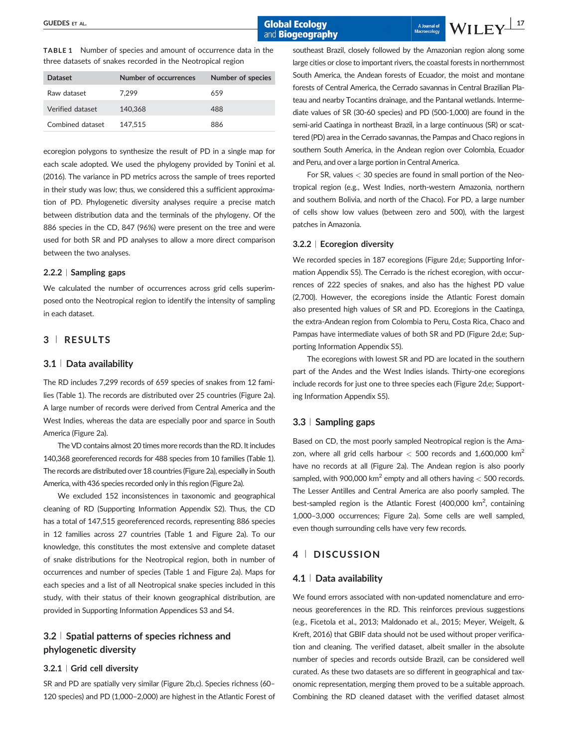## $\text{GUEDES ET AL.}$   $\text{GUEDES ET AL.}$   $\text{M.}$   $\text{M.}$   $\text{M.}$   $\text{M.}$   $\text{M.}$   $\text{M.}$   $\text{M.}$   $\text{M.}$   $\text{M.}$   $\text{M.}$   $\text{M.}$   $\text{M.}$   $\text{M.}$   $\text{M.}$   $\text{M.}$   $\text{M.}$   $\text{M.}$   $\text{M.}$   $\text{M.}$   $\text{M.}$   $\text{M.}$   $\text{M.$ and **Biogeography**

TABLE 1 Number of species and amount of occurrence data in the three datasets of snakes recorded in the Neotropical region

| Dataset          | Number of occurrences | Number of species |
|------------------|-----------------------|-------------------|
| Raw dataset      | 7.299                 | 659               |
| Verified dataset | 140.368               | 488               |
| Combined dataset | 147.515               | 886               |

ecoregion polygons to synthesize the result of PD in a single map for each scale adopted. We used the phylogeny provided by Tonini et al. (2016). The variance in PD metrics across the sample of trees reported in their study was low; thus, we considered this a sufficient approximation of PD. Phylogenetic diversity analyses require a precise match between distribution data and the terminals of the phylogeny. Of the 886 species in the CD, 847 (96%) were present on the tree and were used for both SR and PD analyses to allow a more direct comparison between the two analyses.

#### 2.2.2 <sup>|</sup> Sampling gaps

We calculated the number of occurrences across grid cells superimposed onto the Neotropical region to identify the intensity of sampling in each dataset.

## 3 <sup>|</sup> RESULTS

#### $3.1$  | Data availability

The RD includes 7,299 records of 659 species of snakes from 12 families (Table 1). The records are distributed over 25 countries (Figure 2a). A large number of records were derived from Central America and the West Indies, whereas the data are especially poor and sparce in South America (Figure 2a).

The VD contains almost 20 times more records than the RD. It includes 140,368 georeferenced records for 488 species from 10 families (Table 1). The records are distributed over 18 countries (Figure 2a), especially in South America, with 436 species recorded only in this region (Figure 2a).

We excluded 152 inconsistences in taxonomic and geographical cleaning of RD (Supporting Information Appendix S2). Thus, the CD has a total of 147,515 georeferenced records, representing 886 species in 12 families across 27 countries (Table 1 and Figure 2a). To our knowledge, this constitutes the most extensive and complete dataset of snake distributions for the Neotropical region, both in number of occurrences and number of species (Table 1 and Figure 2a). Maps for each species and a list of all Neotropical snake species included in this study, with their status of their known geographical distribution, are provided in Supporting Information Appendices S3 and S4.

# 3.2 <sup>|</sup> Spatial patterns of species richness and phylogenetic diversity

#### 3.2.1 <sup>|</sup> Grid cell diversity

SR and PD are spatially very similar (Figure 2b,c). Species richness (60– 120 species) and PD (1,000–2,000) are highest in the Atlantic Forest of southeast Brazil, closely followed by the Amazonian region along some large cities or close to important rivers, the coastal forests in northernmost South America, the Andean forests of Ecuador, the moist and montane forests of Central America, the Cerrado savannas in Central Brazilian Plateau and nearby Tocantins drainage, and the Pantanal wetlands. Intermediate values of SR (30-60 species) and PD (500-1,000) are found in the semi-arid Caatinga in northeast Brazil, in a large continuous (SR) or scattered (PD) area in the Cerrado savannas, the Pampas and Chaco regions in southern South America, in the Andean region over Colombia, Ecuador and Peru, and over a large portion in Central America.

For SR, values < 30 species are found in small portion of the Neotropical region (e.g., West Indies, north-western Amazonia, northern and southern Bolivia, and north of the Chaco). For PD, a large number of cells show low values (between zero and 500), with the largest patches in Amazonia.

#### 3.2.2 <sup>|</sup> Ecoregion diversity

We recorded species in 187 ecoregions (Figure 2d,e; Supporting Information Appendix S5). The Cerrado is the richest ecoregion, with occurrences of 222 species of snakes, and also has the highest PD value (2,700). However, the ecoregions inside the Atlantic Forest domain also presented high values of SR and PD. Ecoregions in the Caatinga, the extra-Andean region from Colombia to Peru, Costa Rica, Chaco and Pampas have intermediate values of both SR and PD (Figure 2d,e; Supporting Information Appendix S5).

The ecoregions with lowest SR and PD are located in the southern part of the Andes and the West Indies islands. Thirty-one ecoregions include records for just one to three species each (Figure 2d,e; Supporting Information Appendix S5).

#### 3.3 <sup>|</sup> Sampling gaps

Based on CD, the most poorly sampled Neotropical region is the Amazon, where all grid cells harbour  $<$  500 records and 1,600,000 km<sup>2</sup> have no records at all (Figure 2a). The Andean region is also poorly sampled, with 900,000 km<sup>2</sup> empty and all others having  $<$  500 records. The Lesser Antilles and Central America are also poorly sampled. The best-sampled region is the Atlantic Forest (400,000 km<sup>2</sup>, containing 1,000–3,000 occurrences; Figure 2a). Some cells are well sampled, even though surrounding cells have very few records.

### 4 <sup>|</sup> DISCUSSION

#### $4.1 \mid$  Data availability

We found errors associated with non-updated nomenclature and erroneous georeferences in the RD. This reinforces previous suggestions (e.g., Ficetola et al., 2013; Maldonado et al., 2015; Meyer, Weigelt, & Kreft, 2016) that GBIF data should not be used without proper verification and cleaning. The verified dataset, albeit smaller in the absolute number of species and records outside Brazil, can be considered well curated. As these two datasets are so different in geographical and taxonomic representation, merging them proved to be a suitable approach. Combining the RD cleaned dataset with the verified dataset almost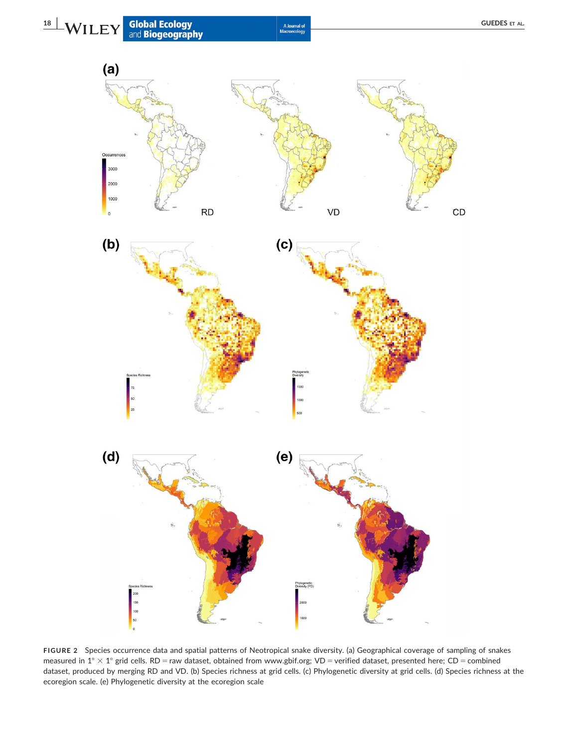

FIGURE 2 Species occurrence data and spatial patterns of Neotropical snake diversity. (a) Geographical coverage of sampling of snakes measured in  $1^\circ \times 1^\circ$  grid cells. RD = raw dataset, obtained from [www.gbif.org;](http://www.gbif.org) VD = verified dataset, presented here; CD = combined dataset, produced by merging RD and VD. (b) Species richness at grid cells. (c) Phylogenetic diversity at grid cells. (d) Species richness at the ecoregion scale. (e) Phylogenetic diversity at the ecoregion scale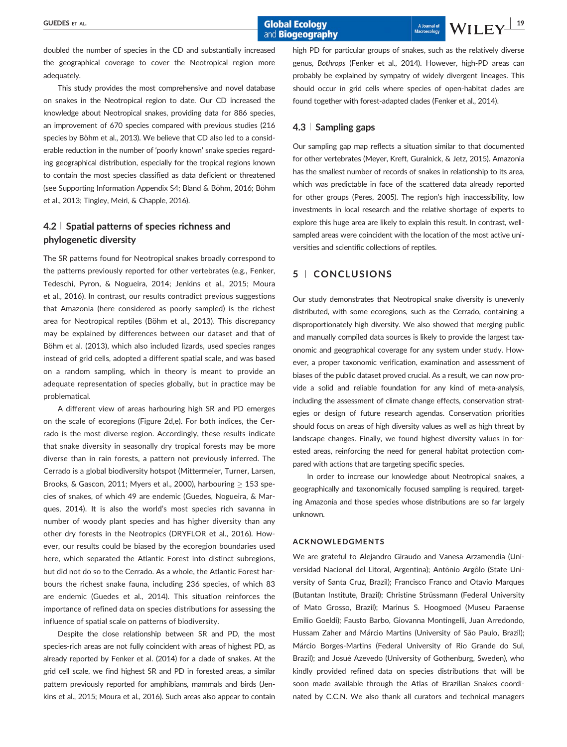# and **Biogeography**

doubled the number of species in the CD and substantially increased the geographical coverage to cover the Neotropical region more adequately.

This study provides the most comprehensive and novel database on snakes in the Neotropical region to date. Our CD increased the knowledge about Neotropical snakes, providing data for 886 species, an improvement of 670 species compared with previous studies (216 species by Böhm et al., 2013). We believe that CD also led to a considerable reduction in the number of 'poorly known' snake species regarding geographical distribution, especially for the tropical regions known to contain the most species classified as data deficient or threatened (see Supporting Information Appendix S4; Bland & Böhm, 2016; Böhm et al., 2013; Tingley, Meiri, & Chapple, 2016).

# 4.2 <sup>|</sup> Spatial patterns of species richness and phylogenetic diversity

The SR patterns found for Neotropical snakes broadly correspond to the patterns previously reported for other vertebrates (e.g., Fenker, Tedeschi, Pyron, & Nogueira, 2014; Jenkins et al., 2015; Moura et al., 2016). In contrast, our results contradict previous suggestions that Amazonia (here considered as poorly sampled) is the richest area for Neotropical reptiles (Böhm et al., 2013). This discrepancy may be explained by differences between our dataset and that of Böhm et al. (2013), which also included lizards, used species ranges instead of grid cells, adopted a different spatial scale, and was based on a random sampling, which in theory is meant to provide an adequate representation of species globally, but in practice may be problematical.

A different view of areas harbouring high SR and PD emerges on the scale of ecoregions (Figure 2d,e). For both indices, the Cerrado is the most diverse region. Accordingly, these results indicate that snake diversity in seasonally dry tropical forests may be more diverse than in rain forests, a pattern not previously inferred. The Cerrado is a global biodiversity hotspot (Mittermeier, Turner, Larsen, Brooks, & Gascon, 2011; Myers et al., 2000), harbouring  $\geq$  153 species of snakes, of which 49 are endemic (Guedes, Nogueira, & Marques, 2014). It is also the world's most species rich savanna in number of woody plant species and has higher diversity than any other dry forests in the Neotropics (DRYFLOR et al., 2016). However, our results could be biased by the ecoregion boundaries used here, which separated the Atlantic Forest into distinct subregions, but did not do so to the Cerrado. As a whole, the Atlantic Forest harbours the richest snake fauna, including 236 species, of which 83 are endemic (Guedes et al., 2014). This situation reinforces the importance of refined data on species distributions for assessing the influence of spatial scale on patterns of biodiversity.

Despite the close relationship between SR and PD, the most species-rich areas are not fully coincident with areas of highest PD, as already reported by Fenker et al. (2014) for a clade of snakes. At the grid cell scale, we find highest SR and PD in forested areas, a similar pattern previously reported for amphibians, mammals and birds (Jenkins et al., 2015; Moura et al., 2016). Such areas also appear to contain high PD for particular groups of snakes, such as the relatively diverse genus, Bothrops (Fenker et al., 2014). However, high-PD areas can probably be explained by sympatry of widely divergent lineages. This should occur in grid cells where species of open-habitat clades are found together with forest-adapted clades (Fenker et al., 2014).

#### 4.3 <sup>|</sup> Sampling gaps

Our sampling gap map reflects a situation similar to that documented for other vertebrates (Meyer, Kreft, Guralnick, & Jetz, 2015). Amazonia has the smallest number of records of snakes in relationship to its area, which was predictable in face of the scattered data already reported for other groups (Peres, 2005). The region's high inaccessibility, low investments in local research and the relative shortage of experts to explore this huge area are likely to explain this result. In contrast, wellsampled areas were coincident with the location of the most active universities and scientific collections of reptiles.

## 5 <sup>|</sup> CONCLUSIONS

Our study demonstrates that Neotropical snake diversity is unevenly distributed, with some ecoregions, such as the Cerrado, containing a disproportionately high diversity. We also showed that merging public and manually compiled data sources is likely to provide the largest taxonomic and geographical coverage for any system under study. However, a proper taxonomic verification, examination and assessment of biases of the public dataset proved crucial. As a result, we can now provide a solid and reliable foundation for any kind of meta-analysis, including the assessment of climate change effects, conservation strategies or design of future research agendas. Conservation priorities should focus on areas of high diversity values as well as high threat by landscape changes. Finally, we found highest diversity values in forested areas, reinforcing the need for general habitat protection compared with actions that are targeting specific species.

In order to increase our knowledge about Neotropical snakes, a geographically and taxonomically focused sampling is required, targeting Amazonia and those species whose distributions are so far largely unknown.

#### ACKNOWLEDGMENTS

We are grateful to Alejandro Giraudo and Vanesa Arzamendia (Universidad Nacional del Litoral, Argentina); Antônio Argôlo (State University of Santa Cruz, Brazil); Francisco Franco and Otavio Marques (Butantan Institute, Brazil); Christine Strüssmann (Federal University of Mato Grosso, Brazil); Marinus S. Hoogmoed (Museu Paraense Emilio Goeldi); Fausto Barbo, Giovanna Montingelli, Juan Arredondo, Hussam Zaher and Márcio Martins (University of São Paulo, Brazil); Márcio Borges-Martins (Federal University of Rio Grande do Sul, Brazil); and Josué Azevedo (University of Gothenburg, Sweden), who kindly provided refined data on species distributions that will be soon made available through the Atlas of Brazilian Snakes coordinated by C.C.N. We also thank all curators and technical managers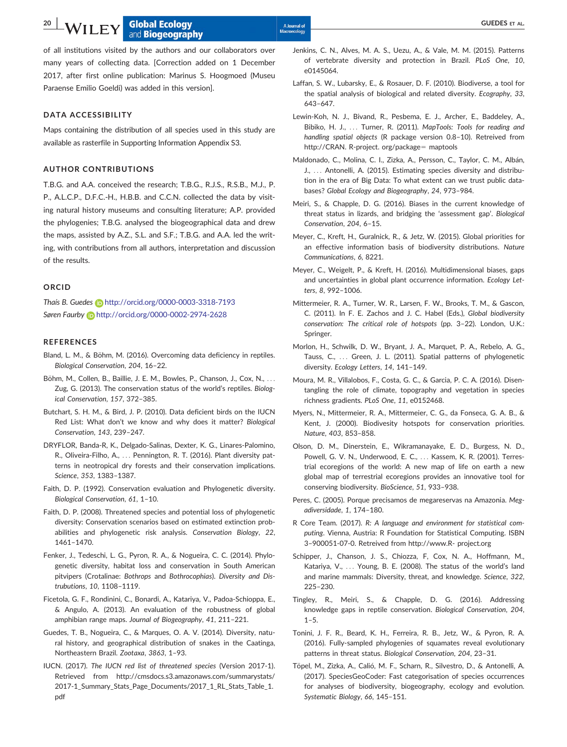# $\frac{\text{20}}{\text{20}}$  WILEY and Biogeography and Biogeography  $\frac{\text{A Journal of}}{\text{Marcsecology}}$

of all institutions visited by the authors and our collaborators over many years of collecting data. [Correction added on 1 December 2017, after first online publication: Marinus S. Hoogmoed (Museu Paraense Emilio Goeldi) was added in this version].

#### DATA ACCESSIBILITY

Maps containing the distribution of all species used in this study are available as rasterfile in Supporting Information Appendix S3.

#### AUTHOR CONTRIBUTIONS

T.B.G. and A.A. conceived the research; T.B.G., R.J.S., R.S.B., M.J., P. P., A.L.C.P., D.F.C.-H., H.B.B. and C.C.N. collected the data by visiting natural history museums and consulting literature; A.P. provided the phylogenies; T.B.G. analysed the biogeographical data and drew the maps, assisted by A.Z., S.L. and S.F.; T.B.G. and A.A. led the writing, with contributions from all authors, interpretation and discussion of the results.

#### **ORCID**

Thaís B. Guedes **in** <http://orcid.org/0000-0003-3318-7193> Søren Faurby **b** <http://orcid.org/0000-0002-2974-2628>

#### REFERENCES

- Bland, L. M., & Böhm, M. (2016). Overcoming data deficiency in reptiles. Biological Conservation, 204, 16–22.
- Böhm, M., Collen, B., Baillie, J. E. M., Bowles, P., Chanson, J., Cox, N., ... Zug, G. (2013). The conservation status of the world's reptiles. Biological Conservation, 157, 372–385.
- Butchart, S. H. M., & Bird, J. P. (2010). Data deficient birds on the IUCN Red List: What don't we know and why does it matter? Biological Conservation, 143, 239–247.
- DRYFLOR, Banda-R, K., Delgado-Salinas, Dexter, K. G., Linares-Palomino, R., Oliveira-Filho, A., ... Pennington, R. T. (2016). Plant diversity patterns in neotropical dry forests and their conservation implications. Science, 353, 1383–1387.
- Faith, D. P. (1992). Conservation evaluation and Phylogenetic diversity. Biological Conservation, 61, 1–10.
- Faith, D. P. (2008). Threatened species and potential loss of phylogenetic diversity: Conservation scenarios based on estimated extinction probabilities and phylogenetic risk analysis. Conservation Biology, 22, 1461–1470.
- Fenker, J., Tedeschi, L. G., Pyron, R. A., & Nogueira, C. C. (2014). Phylogenetic diversity, habitat loss and conservation in South American pitvipers (Crotalinae: Bothrops and Bothrocophias). Diversity and Distrubutions, 10, 1108–1119.
- Ficetola, G. F., Rondinini, C., Bonardi, A., Katariya, V., Padoa-Schioppa, E., & Angulo, A. (2013). An evaluation of the robustness of global amphibian range maps. Journal of Biogeography, 41, 211–221.
- Guedes, T. B., Nogueira, C., & Marques, O. A. V. (2014). Diversity, natural history, and geographical distribution of snakes in the Caatinga, Northeastern Brazil. Zootaxa, 3863, 1–93.
- IUCN. (2017). The IUCN red list of threatened species (Version 2017-1). Retrieved from [http://cmsdocs.s3.amazonaws.com/summarystats/](http://cmsdocs.s3.amazonaws.com/summarystats/2017-1_Summary_Stats_Page_Documents/2017_1_RL_Stats_Table_1.pdf) [2017-1\\_Summary\\_Stats\\_Page\\_Documents/2017\\_1\\_RL\\_Stats\\_Table\\_1.](http://cmsdocs.s3.amazonaws.com/summarystats/2017-1_Summary_Stats_Page_Documents/2017_1_RL_Stats_Table_1.pdf) [pdf](http://cmsdocs.s3.amazonaws.com/summarystats/2017-1_Summary_Stats_Page_Documents/2017_1_RL_Stats_Table_1.pdf)
- Jenkins, C. N., Alves, M. A. S., Uezu, A., & Vale, M. M. (2015). Patterns of vertebrate diversity and protection in Brazil. PLoS One, 10, e0145064.
- Laffan, S. W., Lubarsky, E., & Rosauer, D. F. (2010). Biodiverse, a tool for the spatial analysis of biological and related diversity. Ecography, 33, 643–647.
- Lewin-Koh, N. J., Bivand, R., Pesbema, E. J., Archer, E., Baddeley, A., Bibiko, H. J., ... Turner, R. (2011). MapTools: Tools for reading and handling spatial objects (R package version 0.8–10). Retreived from <http://CRAN>. R-project. org/package= maptools
- Maldonado, C., Molina, C. I., Zizka, A., Persson, C., Taylor, C. M., Albán, J., ... Antonelli, A. (2015). Estimating species diversity and distribution in the era of Big Data: To what extent can we trust public databases? Global Ecology and Biogeography, 24, 973–984.
- Meiri, S., & Chapple, D. G. (2016). Biases in the current knowledge of threat status in lizards, and bridging the 'assessment gap'. Biological Conservation, 204, 6–15.
- Meyer, C., Kreft, H., Guralnick, R., & Jetz, W. (2015). Global priorities for an effective information basis of biodiversity distributions. Nature Communications, 6, 8221.
- Meyer, C., Weigelt, P., & Kreft, H. (2016). Multidimensional biases, gaps and uncertainties in global plant occurrence information. Ecology Letters, 8, 992–1006.
- Mittermeier, R. A., Turner, W. R., Larsen, F. W., Brooks, T. M., & Gascon, C. (2011). In F. E. Zachos and J. C. Habel (Eds.), Global biodiversity conservation: The critical role of hotspots (pp. 3–22). London, U.K.: Springer.
- Morlon, H., Schwilk, D. W., Bryant, J. A., Marquet, P. A., Rebelo, A. G., Tauss, C., ... Green, J. L. (2011). Spatial patterns of phylogenetic diversity. Ecology Letters, 14, 141–149.
- Moura, M. R., Villalobos, F., Costa, G. C., & Garcia, P. C. A. (2016). Disentangling the role of climate, topography and vegetation in species richness gradients. PLoS One, 11, e0152468.
- Myers, N., Mittermeier, R. A., Mittermeier, C. G., da Fonseca, G. A. B., & Kent, J. (2000). Biodivesity hotspots for conservation priorities. Nature, 403, 853–858.
- Olson, D. M., Dinerstein, E., Wikramanayake, E. D., Burgess, N. D., Powell, G. V. N., Underwood, E. C., ... Kassem, K. R. (2001). Terrestrial ecoregions of the world: A new map of life on earth a new global map of terrestrial ecoregions provides an innovative tool for conserving biodiversity. BioScience, 51, 933–938.
- Peres, C. (2005). Porque precisamos de megareservas na Amazonia. Megadiversidade, 1, 174–180.
- R Core Team. (2017). R: A language and environment for statistical computing. Vienna, Austria: R Foundation for Statistical Computing. ISBN 3–900051-07-0. Retreived from<http://www.R-> project.org
- Schipper, J., Chanson, J. S., Chiozza, F, Cox, N. A., Hoffmann, M., Katariya, V., ... Young, B. E. (2008). The status of the world's land and marine mammals: Diversity, threat, and knowledge. Science, 322, 225–230.
- Tingley, R., Meiri, S., & Chapple, D. G. (2016). Addressing knowledge gaps in reptile conservation. Biological Conservation, 204,  $1 - 5.$
- Tonini, J. F. R., Beard, K. H., Ferreira, R. B., Jetz, W., & Pyron, R. A. (2016). Fully-sampled phylogenies of squamates reveal evolutionary patterns in threat status. Biological Conservation, 204, 23–31.
- Töpel, M., Zizka, A., Calió, M. F., Scharn, R., Silvestro, D., & Antonelli, A. (2017). SpeciesGeoCoder: Fast categorisation of species occurrences for analyses of biodiversity, biogeography, ecology and evolution. Systematic Biology, 66, 145–151.